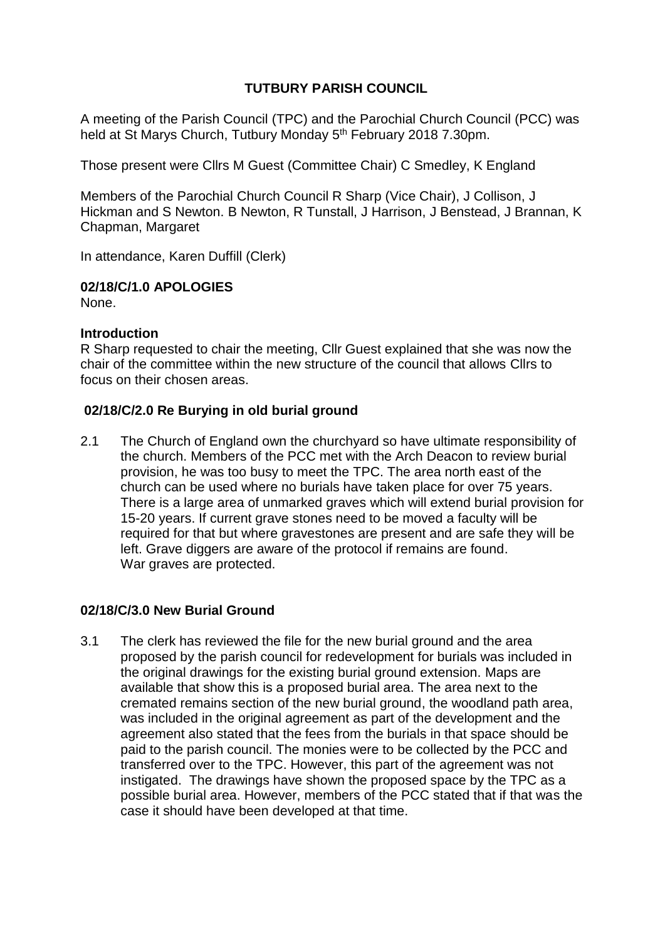## **TUTBURY PARISH COUNCIL**

A meeting of the Parish Council (TPC) and the Parochial Church Council (PCC) was held at St Marys Church, Tutbury Monday 5<sup>th</sup> February 2018 7.30pm.

Those present were Cllrs M Guest (Committee Chair) C Smedley, K England

Members of the Parochial Church Council R Sharp (Vice Chair), J Collison, J Hickman and S Newton. B Newton, R Tunstall, J Harrison, J Benstead, J Brannan, K Chapman, Margaret

In attendance, Karen Duffill (Clerk)

#### **02/18/C/1.0 APOLOGIES**

None.

#### **Introduction**

R Sharp requested to chair the meeting, Cllr Guest explained that she was now the chair of the committee within the new structure of the council that allows Cllrs to focus on their chosen areas.

#### **02/18/C/2.0 Re Burying in old burial ground**

2.1 The Church of England own the churchyard so have ultimate responsibility of the church. Members of the PCC met with the Arch Deacon to review burial provision, he was too busy to meet the TPC. The area north east of the church can be used where no burials have taken place for over 75 years. There is a large area of unmarked graves which will extend burial provision for 15-20 years. If current grave stones need to be moved a faculty will be required for that but where gravestones are present and are safe they will be left. Grave diggers are aware of the protocol if remains are found. War graves are protected.

#### **02/18/C/3.0 New Burial Ground**

3.1 The clerk has reviewed the file for the new burial ground and the area proposed by the parish council for redevelopment for burials was included in the original drawings for the existing burial ground extension. Maps are available that show this is a proposed burial area. The area next to the cremated remains section of the new burial ground, the woodland path area, was included in the original agreement as part of the development and the agreement also stated that the fees from the burials in that space should be paid to the parish council. The monies were to be collected by the PCC and transferred over to the TPC. However, this part of the agreement was not instigated. The drawings have shown the proposed space by the TPC as a possible burial area. However, members of the PCC stated that if that was the case it should have been developed at that time.